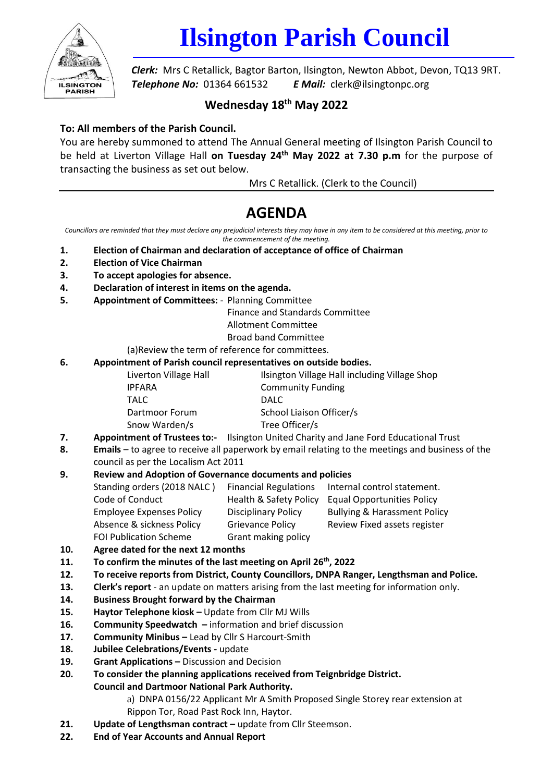

# **Ilsington Parish Council**

*Clerk:* Mrs C Retallick, Bagtor Barton, Ilsington, Newton Abbot, Devon, TQ13 9RT. *Telephone No:* 01364 661532 *E Mail:* clerk@ilsingtonpc.org

## **Wednesday 18th May 2022**

### **To: All members of the Parish Council.**

You are hereby summoned to attend The Annual General meeting of Ilsington Parish Council to be held at Liverton Village Hall **on Tuesday 24th May 2022 at 7.30 p.m** for the purpose of transacting the business as set out below.

Mrs C Retallick. (Clerk to the Council)

# **AGENDA**

Councillors are reminded that they must declare any prejudicial interests they may have in any item to be considered at this meeting, prior to *the commencement of the meeting.*

- **1. Election of Chairman and declaration of acceptance of office of Chairman**
- **2. Election of Vice Chairman**
- **3. To accept apologies for absence.**
- **4. Declaration of interest in items on the agenda.**
- **5. Appointment of Committees:** Planning Committee

Finance and Standards Committee

Allotment Committee

Broad band Committee

(a)Review the term of reference for committees.

#### **6. Appointment of Parish council representatives on outside bodies.**

| Liverton Village Hall | Ilsington Village Hall including Village Shop |
|-----------------------|-----------------------------------------------|
| <b>IPFARA</b>         | <b>Community Funding</b>                      |
| <b>TALC</b>           | DALC.                                         |
| Dartmoor Forum        | School Liaison Officer/s                      |
| Snow Warden/s         | Tree Officer/s                                |
|                       |                                               |

- **7. Appointment of Trustees to:-** Ilsington United Charity and Jane Ford Educational Trust
- **8. Emails** to agree to receive all paperwork by email relating to the meetings and business of the
- council as per the Localism Act 2011

### **9. Review and Adoption of Governance documents and policies**

| Standing orders (2018 NALC)     | <b>Financial Regulations</b>      | Internal control statement.             |
|---------------------------------|-----------------------------------|-----------------------------------------|
| Code of Conduct                 | <b>Health &amp; Safety Policy</b> | <b>Equal Opportunities Policy</b>       |
| <b>Employee Expenses Policy</b> | <b>Disciplinary Policy</b>        | <b>Bullying &amp; Harassment Policy</b> |
| Absence & sickness Policy       | <b>Grievance Policy</b>           | Review Fixed assets register            |
| <b>FOI Publication Scheme</b>   | Grant making policy               |                                         |

- **10. Agree dated for the next 12 months**
- **11. To confirm the minutes of the last meeting on April 26 th, 2022**
- **12. To receive reports from District, County Councillors, DNPA Ranger, Lengthsman and Police.**
- **13. Clerk's report** an update on matters arising from the last meeting for information only.
- **14. Business Brought forward by the Chairman**
- **15. Haytor Telephone kiosk –** Update from Cllr MJ Wills
- **16. Community Speedwatch –** information and brief discussion
- **17. Community Minibus –** Lead by Cllr S Harcourt-Smith
- **18. Jubilee Celebrations/Events -** update
- **19.** Grant Applications Discussion and Decision
- **20. To consider the planning applications received from Teignbridge District. Council and Dartmoor National Park Authority.** 
	- a) DNPA 0156/22 Applicant Mr A Smith Proposed Single Storey rear extension at Rippon Tor, Road Past Rock Inn, Haytor.
- **21. Update of Lengthsman contract –** update from Cllr Steemson.
- **22. End of Year Accounts and Annual Report**